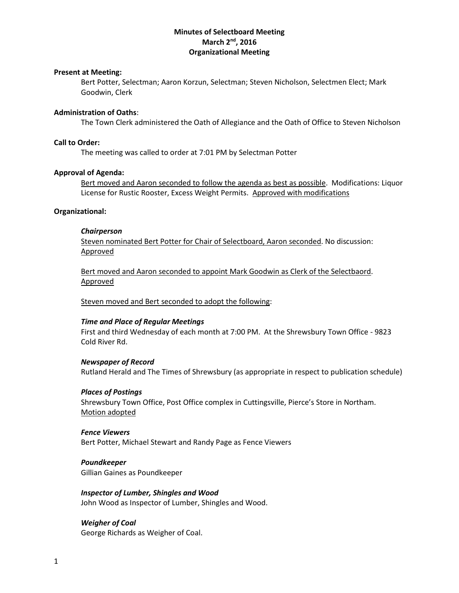# **Minutes of Selectboard Meeting March 2 nd, 2016 Organizational Meeting**

### **Present at Meeting:**

Bert Potter, Selectman; Aaron Korzun, Selectman; Steven Nicholson, Selectmen Elect; Mark Goodwin, Clerk

#### **Administration of Oaths**:

The Town Clerk administered the Oath of Allegiance and the Oath of Office to Steven Nicholson

### **Call to Order:**

The meeting was called to order at 7:01 PM by Selectman Potter

#### **Approval of Agenda:**

Bert moved and Aaron seconded to follow the agenda as best as possible. Modifications: Liquor License for Rustic Rooster, Excess Weight Permits. Approved with modifications

#### **Organizational:**

#### *Chairperson*

Steven nominated Bert Potter for Chair of Selectboard, Aaron seconded. No discussion: Approved

Bert moved and Aaron seconded to appoint Mark Goodwin as Clerk of the Selectbaord. Approved

Steven moved and Bert seconded to adopt the following:

### *Time and Place of Regular Meetings*

First and third Wednesday of each month at 7:00 PM. At the Shrewsbury Town Office - 9823 Cold River Rd.

#### *Newspaper of Record*

Rutland Herald and The Times of Shrewsbury (as appropriate in respect to publication schedule)

#### *Places of Postings*

Shrewsbury Town Office, Post Office complex in Cuttingsville, Pierce's Store in Northam. Motion adopted

#### *Fence Viewers*

Bert Potter, Michael Stewart and Randy Page as Fence Viewers

*Poundkeeper* Gillian Gaines as Poundkeeper

## *Inspector of Lumber, Shingles and Wood* John Wood as Inspector of Lumber, Shingles and Wood.

# *Weigher of Coal*

George Richards as Weigher of Coal.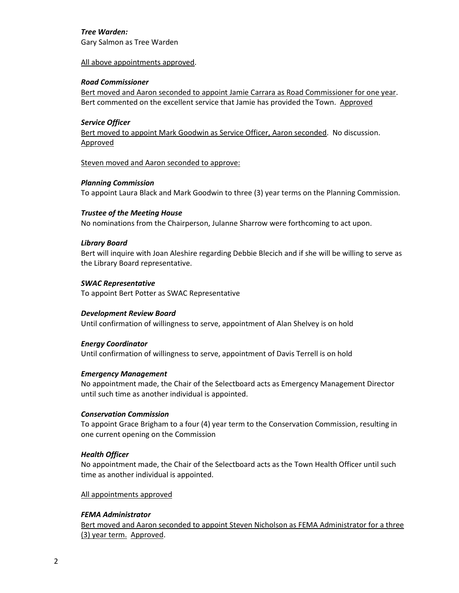# *Tree Warden:*

Gary Salmon as Tree Warden

## All above appointments approved.

# *Road Commissioner*

Bert moved and Aaron seconded to appoint Jamie Carrara as Road Commissioner for one year. Bert commented on the excellent service that Jamie has provided the Town. Approved

# *Service Officer*

Bert moved to appoint Mark Goodwin as Service Officer, Aaron seconded. No discussion. Approved

Steven moved and Aaron seconded to approve:

# *Planning Commission*

To appoint Laura Black and Mark Goodwin to three (3) year terms on the Planning Commission.

## *Trustee of the Meeting House*

No nominations from the Chairperson, Julanne Sharrow were forthcoming to act upon.

## *Library Board*

Bert will inquire with Joan Aleshire regarding Debbie Blecich and if she will be willing to serve as the Library Board representative.

## *SWAC Representative*

To appoint Bert Potter as SWAC Representative

# *Development Review Board*

Until confirmation of willingness to serve, appointment of Alan Shelvey is on hold

# *Energy Coordinator*

Until confirmation of willingness to serve, appointment of Davis Terrell is on hold

### *Emergency Management*

No appointment made, the Chair of the Selectboard acts as Emergency Management Director until such time as another individual is appointed.

### *Conservation Commission*

To appoint Grace Brigham to a four (4) year term to the Conservation Commission, resulting in one current opening on the Commission

# *Health Officer*

No appointment made, the Chair of the Selectboard acts as the Town Health Officer until such time as another individual is appointed.

## All appointments approved

# *FEMA Administrator*

Bert moved and Aaron seconded to appoint Steven Nicholson as FEMA Administrator for a three (3) year term. Approved.